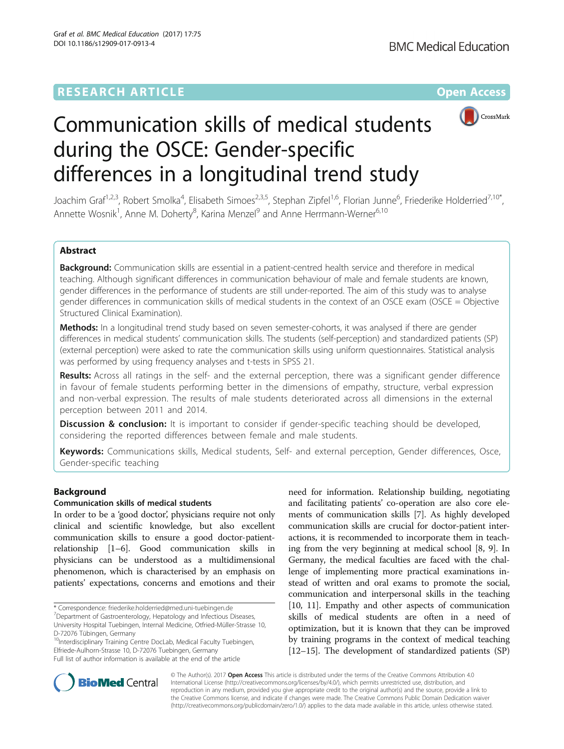## **RESEARCH ARTICLE External Structure Community Community Community Community Community Community Community Community**



# Communication skills of medical students during the OSCE: Gender-specific differences in a longitudinal trend study

Joachim Graf<sup>1,2,3</sup>, Robert Smolka<sup>4</sup>, Elisabeth Simoes<sup>2,3,5</sup>, Stephan Zipfel<sup>1,6</sup>, Florian Junne<sup>6</sup>, Friederike Holderried<sup>7,10\*</sup>, Annette Wosnik<sup>1</sup>, Anne M. Doherty<sup>8</sup>, Karina Menzel<sup>9</sup> and Anne Herrmann-Werner<sup>6,10</sup>

## Abstract

Background: Communication skills are essential in a patient-centred health service and therefore in medical teaching. Although significant differences in communication behaviour of male and female students are known, gender differences in the performance of students are still under-reported. The aim of this study was to analyse gender differences in communication skills of medical students in the context of an OSCE exam (OSCE = Objective Structured Clinical Examination).

Methods: In a longitudinal trend study based on seven semester-cohorts, it was analysed if there are gender differences in medical students' communication skills. The students (self-perception) and standardized patients (SP) (external perception) were asked to rate the communication skills using uniform questionnaires. Statistical analysis was performed by using frequency analyses and t-tests in SPSS 21.

Results: Across all ratings in the self- and the external perception, there was a significant gender difference in favour of female students performing better in the dimensions of empathy, structure, verbal expression and non-verbal expression. The results of male students deteriorated across all dimensions in the external perception between 2011 and 2014.

**Discussion & conclusion:** It is important to consider if gender-specific teaching should be developed, considering the reported differences between female and male students.

Keywords: Communications skills, Medical students, Self- and external perception, Gender differences, Osce, Gender-specific teaching

## Background

## Communication skills of medical students

In order to be a 'good doctor', physicians require not only clinical and scientific knowledge, but also excellent communication skills to ensure a good doctor-patientrelationship [[1](#page-7-0)–[6](#page-7-0)]. Good communication skills in physicians can be understood as a multidimensional phenomenon, which is characterised by an emphasis on patients' expectations, concerns and emotions and their

\* Correspondence: [friederike.holderried@med.uni-tuebingen.de](mailto:friederike.holderried@med.uni-tuebingen.de) <sup>7</sup>

<sup>10</sup>Interdisciplinary Training Centre DocLab, Medical Faculty Tuebingen, Elfriede-Aulhorn-Strasse 10, D-72076 Tuebingen, Germany Full list of author information is available at the end of the article

need for information. Relationship building, negotiating and facilitating patients' co-operation are also core elements of communication skills [\[7](#page-7-0)]. As highly developed communication skills are crucial for doctor-patient interactions, it is recommended to incorporate them in teaching from the very beginning at medical school [\[8, 9\]](#page-7-0). In Germany, the medical faculties are faced with the challenge of implementing more practical examinations instead of written and oral exams to promote the social, communication and interpersonal skills in the teaching [[10](#page-7-0), [11\]](#page-7-0). Empathy and other aspects of communication skills of medical students are often in a need of optimization, but it is known that they can be improved by training programs in the context of medical teaching [[12](#page-7-0)–[15\]](#page-7-0). The development of standardized patients (SP)



© The Author(s). 2017 **Open Access** This article is distributed under the terms of the Creative Commons Attribution 4.0 International License [\(http://creativecommons.org/licenses/by/4.0/](http://creativecommons.org/licenses/by/4.0/)), which permits unrestricted use, distribution, and reproduction in any medium, provided you give appropriate credit to the original author(s) and the source, provide a link to the Creative Commons license, and indicate if changes were made. The Creative Commons Public Domain Dedication waiver [\(http://creativecommons.org/publicdomain/zero/1.0/](http://creativecommons.org/publicdomain/zero/1.0/)) applies to the data made available in this article, unless otherwise stated.

<sup>&</sup>lt;sup>7</sup>Department of Gastroenterology, Hepatology and Infectious Diseases,

University Hospital Tuebingen, Internal Medicine, Otfried-Müller-Strasse 10, D-72076 Tübingen, Germany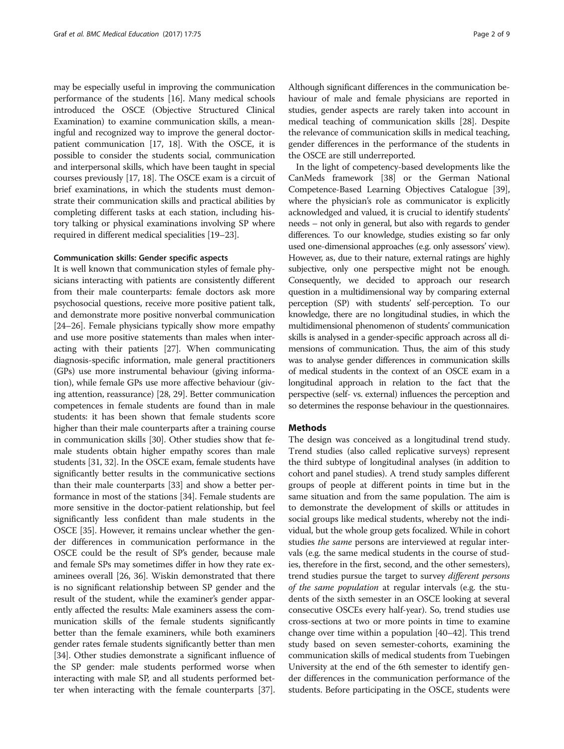may be especially useful in improving the communication performance of the students [\[16](#page-7-0)]. Many medical schools introduced the OSCE (Objective Structured Clinical Examination) to examine communication skills, a meaningful and recognized way to improve the general doctorpatient communication [\[17, 18\]](#page-7-0). With the OSCE, it is possible to consider the students social, communication and interpersonal skills, which have been taught in special courses previously [\[17, 18](#page-7-0)]. The OSCE exam is a circuit of brief examinations, in which the students must demonstrate their communication skills and practical abilities by completing different tasks at each station, including history talking or physical examinations involving SP where required in different medical specialities [\[19](#page-7-0)–[23](#page-8-0)].

#### Communication skills: Gender specific aspects

It is well known that communication styles of female physicians interacting with patients are consistently different from their male counterparts: female doctors ask more psychosocial questions, receive more positive patient talk, and demonstrate more positive nonverbal communication [[24](#page-8-0)–[26\]](#page-8-0). Female physicians typically show more empathy and use more positive statements than males when interacting with their patients [\[27\]](#page-8-0). When communicating diagnosis-specific information, male general practitioners (GPs) use more instrumental behaviour (giving information), while female GPs use more affective behaviour (giving attention, reassurance) [\[28](#page-8-0), [29\]](#page-8-0). Better communication competences in female students are found than in male students: it has been shown that female students score higher than their male counterparts after a training course in communication skills [\[30](#page-8-0)]. Other studies show that female students obtain higher empathy scores than male students [\[31, 32\]](#page-8-0). In the OSCE exam, female students have significantly better results in the communicative sections than their male counterparts [[33](#page-8-0)] and show a better performance in most of the stations [\[34\]](#page-8-0). Female students are more sensitive in the doctor-patient relationship, but feel significantly less confident than male students in the OSCE [\[35\]](#page-8-0). However, it remains unclear whether the gender differences in communication performance in the OSCE could be the result of SP's gender, because male and female SPs may sometimes differ in how they rate examinees overall [\[26, 36](#page-8-0)]. Wiskin demonstrated that there is no significant relationship between SP gender and the result of the student, while the examiner's gender apparently affected the results: Male examiners assess the communication skills of the female students significantly better than the female examiners, while both examiners gender rates female students significantly better than men [[34](#page-8-0)]. Other studies demonstrate a significant influence of the SP gender: male students performed worse when interacting with male SP, and all students performed better when interacting with the female counterparts [[37](#page-8-0)].

Although significant differences in the communication behaviour of male and female physicians are reported in studies, gender aspects are rarely taken into account in medical teaching of communication skills [[28](#page-8-0)]. Despite the relevance of communication skills in medical teaching, gender differences in the performance of the students in the OSCE are still underreported.

In the light of competency-based developments like the CanMeds framework [\[38](#page-8-0)] or the German National Competence-Based Learning Objectives Catalogue [[39](#page-8-0)], where the physician's role as communicator is explicitly acknowledged and valued, it is crucial to identify students' needs – not only in general, but also with regards to gender differences. To our knowledge, studies existing so far only used one-dimensional approaches (e.g. only assessors' view). However, as, due to their nature, external ratings are highly subjective, only one perspective might not be enough. Consequently, we decided to approach our research question in a multidimensional way by comparing external perception (SP) with students' self-perception. To our knowledge, there are no longitudinal studies, in which the multidimensional phenomenon of students' communication skills is analysed in a gender-specific approach across all dimensions of communication. Thus, the aim of this study was to analyse gender differences in communication skills of medical students in the context of an OSCE exam in a longitudinal approach in relation to the fact that the perspective (self- vs. external) influences the perception and so determines the response behaviour in the questionnaires.

## Methods

The design was conceived as a longitudinal trend study. Trend studies (also called replicative surveys) represent the third subtype of longitudinal analyses (in addition to cohort and panel studies). A trend study samples different groups of people at different points in time but in the same situation and from the same population. The aim is to demonstrate the development of skills or attitudes in social groups like medical students, whereby not the individual, but the whole group gets focalized. While in cohort studies the same persons are interviewed at regular intervals (e.g. the same medical students in the course of studies, therefore in the first, second, and the other semesters), trend studies pursue the target to survey *different persons* of the same population at regular intervals (e.g. the students of the sixth semester in an OSCE looking at several consecutive OSCEs every half-year). So, trend studies use cross-sections at two or more points in time to examine change over time within a population [[40](#page-8-0)–[42\]](#page-8-0). This trend study based on seven semester-cohorts, examining the communication skills of medical students from Tuebingen University at the end of the 6th semester to identify gender differences in the communication performance of the students. Before participating in the OSCE, students were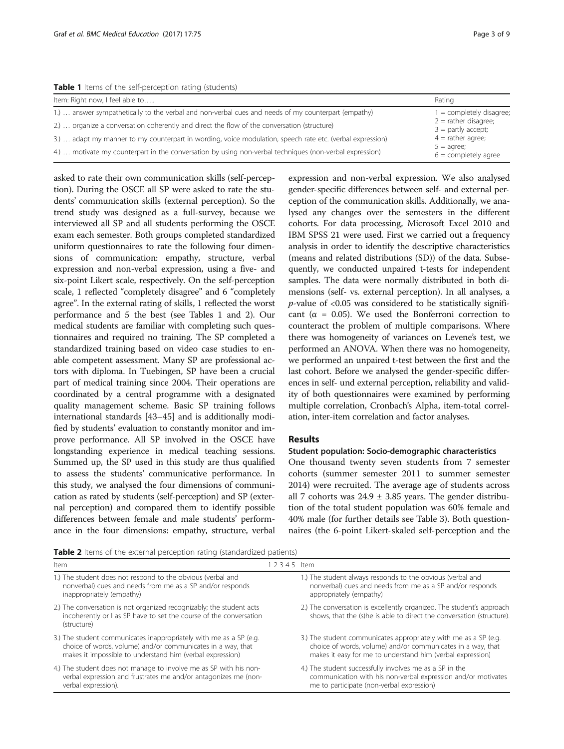Table 1 Items of the self-perception rating (students)

| Item: Right now, I feel able to                                                                           | Rating                                         |
|-----------------------------------------------------------------------------------------------------------|------------------------------------------------|
| 1.)  answer sympathetically to the verbal and non-verbal cues and needs of my counterpart (empathy)       | = completely disagree;                         |
| 2.)  organize a conversation coherently and direct the flow of the conversation (structure)               | $2 =$ rather disagree;<br>$3 =$ partly accept; |
| 3.)  adapt my manner to my counterpart in wording, voice modulation, speech rate etc. (verbal expression) | $4 =$ rather agree;<br>$5 = \text{agree}$      |
| 4.)  motivate my counterpart in the conversation by using non-verbal techniques (non-verbal expression)   | $6 =$ completely agree                         |

asked to rate their own communication skills (self-perception). During the OSCE all SP were asked to rate the students' communication skills (external perception). So the trend study was designed as a full-survey, because we interviewed all SP and all students performing the OSCE exam each semester. Both groups completed standardized uniform questionnaires to rate the following four dimensions of communication: empathy, structure, verbal expression and non-verbal expression, using a five- and six-point Likert scale, respectively. On the self-perception scale, 1 reflected "completely disagree" and 6 "completely agree". In the external rating of skills, 1 reflected the worst performance and 5 the best (see Tables 1 and 2). Our medical students are familiar with completing such questionnaires and required no training. The SP completed a standardized training based on video case studies to enable competent assessment. Many SP are professional actors with diploma. In Tuebingen, SP have been a crucial part of medical training since 2004. Their operations are coordinated by a central programme with a designated quality management scheme. Basic SP training follows international standards [\[43](#page-8-0)–[45](#page-8-0)] and is additionally modified by students' evaluation to constantly monitor and improve performance. All SP involved in the OSCE have longstanding experience in medical teaching sessions. Summed up, the SP used in this study are thus qualified to assess the students' communicative performance. In this study, we analysed the four dimensions of communication as rated by students (self-perception) and SP (external perception) and compared them to identify possible differences between female and male students' performance in the four dimensions: empathy, structure, verbal

expression and non-verbal expression. We also analysed gender-specific differences between self- and external perception of the communication skills. Additionally, we analysed any changes over the semesters in the different cohorts. For data processing, Microsoft Excel 2010 and IBM SPSS 21 were used. First we carried out a frequency analysis in order to identify the descriptive characteristics (means and related distributions (SD)) of the data. Subsequently, we conducted unpaired t-tests for independent samples. The data were normally distributed in both dimensions (self- vs. external perception). In all analyses, a  $p$ -value of <0.05 was considered to be statistically significant ( $\alpha$  = 0.05). We used the Bonferroni correction to counteract the problem of multiple comparisons. Where there was homogeneity of variances on Levene's test, we performed an ANOVA. When there was no homogeneity, we performed an unpaired t-test between the first and the last cohort. Before we analysed the gender-specific differences in self- und external perception, reliability and validity of both questionnaires were examined by performing multiple correlation, Cronbach's Alpha, item-total correlation, inter-item correlation and factor analyses.

## Results

#### Student population: Socio-demographic characteristics

One thousand twenty seven students from 7 semester cohorts (summer semester 2011 to summer semester 2014) were recruited. The average age of students across all 7 cohorts was  $24.9 \pm 3.85$  years. The gender distribution of the total student population was 60% female and 40% male (for further details see Table [3\)](#page-3-0). Both questionnaires (the 6-point Likert-skaled self-perception and the

**Table 2** Items of the external perception rating (standardized patients)

| <b>TWINTS</b> TRETTIS OF THE EXTERNAL PERCEPTION RAINING (STATIONISTICS) PATIENTS)                                                                        |                                                                                                                                                |  |  |  |  |  |  |  |  |
|-----------------------------------------------------------------------------------------------------------------------------------------------------------|------------------------------------------------------------------------------------------------------------------------------------------------|--|--|--|--|--|--|--|--|
| Item                                                                                                                                                      | 1 2 3 4 5 Item                                                                                                                                 |  |  |  |  |  |  |  |  |
| 1.) The student does not respond to the obvious (verbal and                                                                                               | 1.) The student always responds to the obvious (verbal and                                                                                     |  |  |  |  |  |  |  |  |
| nonverbal) cues and needs from me as a SP and/or responds                                                                                                 | nonverbal) cues and needs from me as a SP and/or responds                                                                                      |  |  |  |  |  |  |  |  |
| inappropriately (empathy)                                                                                                                                 | appropriately (empathy)                                                                                                                        |  |  |  |  |  |  |  |  |
| 2.) The conversation is not organized recognizably; the student acts<br>incoherently or I as SP have to set the course of the conversation<br>(structure) | 2.) The conversation is excellently organized. The student's approach<br>shows, that the (s)he is able to direct the conversation (structure). |  |  |  |  |  |  |  |  |
| 3.) The student communicates inappropriately with me as a SP (e.g.                                                                                        | 3.) The student communicates appropriately with me as a SP (e.g.                                                                               |  |  |  |  |  |  |  |  |
| choice of words, volume) and/or communicates in a way, that                                                                                               | choice of words, volume) and/or communicates in a way, that                                                                                    |  |  |  |  |  |  |  |  |
| makes it impossible to understand him (verbal expression)                                                                                                 | makes it easy for me to understand him (verbal expression)                                                                                     |  |  |  |  |  |  |  |  |
| 4.) The student does not manage to involve me as SP with his non-                                                                                         | 4.) The student successfully involves me as a SP in the                                                                                        |  |  |  |  |  |  |  |  |
| verbal expression and frustrates me and/or antagonizes me (non-                                                                                           | communication with his non-verbal expression and/or motivates                                                                                  |  |  |  |  |  |  |  |  |
| verbal expression).                                                                                                                                       | me to participate (non-verbal expression)                                                                                                      |  |  |  |  |  |  |  |  |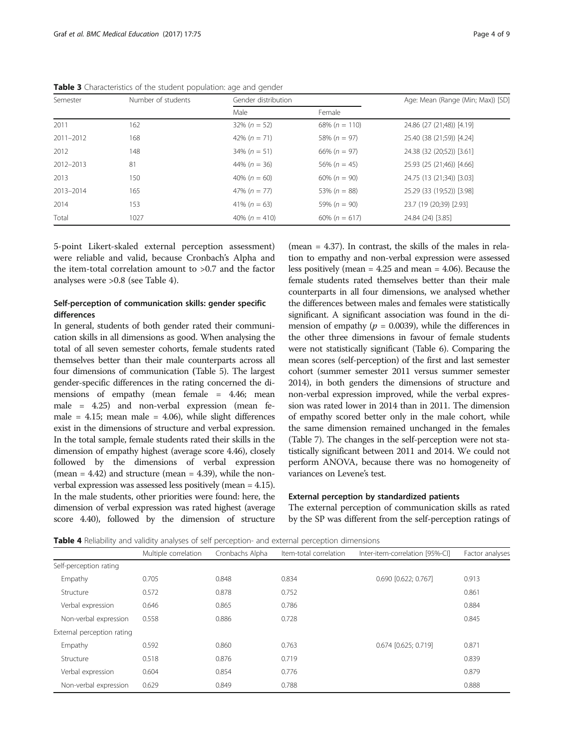| Semester  | Number of students | Gender distribution |                   | Age: Mean (Range (Min; Max)) [SD] |  |  |
|-----------|--------------------|---------------------|-------------------|-----------------------------------|--|--|
|           |                    | Male                | Female            |                                   |  |  |
| 2011      | 162                | $32\% (n = 52)$     | 68% ( $n = 110$ ) | 24.86 (27 (21;48)) [4.19]         |  |  |
| 2011-2012 | 168                | 42% $(n = 71)$      | 58% ( $n = 97$ )  | 25.40 (38 (21;59)) [4.24]         |  |  |
| 2012      | 148                | $34\% (n = 51)$     | $66\% (n = 97)$   | 24.38 (32 (20;52)) [3.61]         |  |  |
| 2012-2013 | 81                 | $44\% (n = 36)$     | 56% ( $n = 45$ )  | 25.93 (25 (21;46)) [4.66]         |  |  |
| 2013      | 150                | 40% ( $n = 60$ )    | $60\% (n = 90)$   | 24.75 (13 (21;34)) [3.03]         |  |  |
| 2013-2014 | 165                | $47\% (n = 77)$     | 53% ( $n = 88$ )  | 25.29 (33 (19;52)) [3.98]         |  |  |
| 2014      | 153                | 41% ( $n = 63$ )    | 59% ( $n = 90$ )  | 23.7 (19 (20:39) [2.93]           |  |  |
| Total     | 1027               | 40% ( $n = 410$ )   | $60\% (n = 617)$  | 24.84 (24) [3.85]                 |  |  |

<span id="page-3-0"></span>Table 3 Characteristics of the student population: age and gender

5-point Likert-skaled external perception assessment) were reliable and valid, because Cronbach's Alpha and the item-total correlation amount to >0.7 and the factor analyses were >0.8 (see Table 4).

## Self-perception of communication skills: gender specific differences

In general, students of both gender rated their communication skills in all dimensions as good. When analysing the total of all seven semester cohorts, female students rated themselves better than their male counterparts across all four dimensions of communication (Table [5](#page-4-0)). The largest gender-specific differences in the rating concerned the dimensions of empathy (mean female = 4.46; mean male = 4.25) and non-verbal expression (mean female =  $4.15$ ; mean male =  $4.06$ ), while slight differences exist in the dimensions of structure and verbal expression. In the total sample, female students rated their skills in the dimension of empathy highest (average score 4.46), closely followed by the dimensions of verbal expression (mean  $= 4.42$ ) and structure (mean  $= 4.39$ ), while the nonverbal expression was assessed less positively (mean = 4.15). In the male students, other priorities were found: here, the dimension of verbal expression was rated highest (average score 4.40), followed by the dimension of structure

(mean  $= 4.37$ ). In contrast, the skills of the males in relation to empathy and non-verbal expression were assessed less positively (mean = 4.25 and mean = 4.06). Because the female students rated themselves better than their male counterparts in all four dimensions, we analysed whether the differences between males and females were statistically significant. A significant association was found in the dimension of empathy ( $p = 0.0039$ ), while the differences in the other three dimensions in favour of female students were not statistically significant (Table [6\)](#page-4-0). Comparing the mean scores (self-perception) of the first and last semester cohort (summer semester 2011 versus summer semester 2014), in both genders the dimensions of structure and non-verbal expression improved, while the verbal expression was rated lower in 2014 than in 2011. The dimension of empathy scored better only in the male cohort, while the same dimension remained unchanged in the females (Table [7\)](#page-5-0). The changes in the self-perception were not statistically significant between 2011 and 2014. We could not perform ANOVA, because there was no homogeneity of variances on Levene's test.

#### External perception by standardized patients

The external perception of communication skills as rated by the SP was different from the self-perception ratings of

Table 4 Reliability and validity analyses of self perception- and external perception dimensions

|                            | Multiple correlation | Cronbachs Alpha | Item-total correlation | Inter-item-correlation [95%-CI] | Factor analyses |
|----------------------------|----------------------|-----------------|------------------------|---------------------------------|-----------------|
| Self-perception rating     |                      |                 |                        |                                 |                 |
| Empathy                    | 0.705                | 0.848           | 0.834                  | 0.690 [0.622; 0.767]            | 0.913           |
| Structure                  | 0.572                | 0.878           | 0.752                  |                                 | 0.861           |
| Verbal expression          | 0.646                | 0.865           | 0.786                  |                                 | 0.884           |
| Non-verbal expression      | 0.558                | 0.886           | 0.728                  |                                 | 0.845           |
| External perception rating |                      |                 |                        |                                 |                 |
| Empathy                    | 0.592                | 0.860           | 0.763                  | 0.674 [0.625; 0.719]            | 0.871           |
| Structure                  | 0.518                | 0.876           | 0.719                  |                                 | 0.839           |
| Verbal expression          | 0.604                | 0.854           | 0.776                  |                                 | 0.879           |
| Non-verbal expression      | 0.629                | 0.849           | 0.788                  |                                 | 0.888           |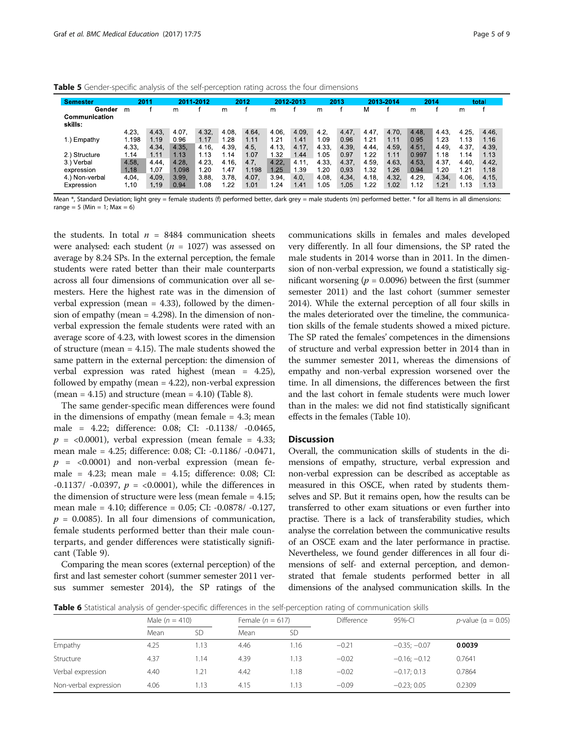| Semester                 | 2011   |        |       | 2011 2012 |        | 2012   |       | 2012 2013 |        | 2013  |        | 2013 2014 |       | 2014            |       | total  |
|--------------------------|--------|--------|-------|-----------|--------|--------|-------|-----------|--------|-------|--------|-----------|-------|-----------------|-------|--------|
| Gender                   | m      |        | m     |           | m      |        | m     |           | m      |       | м      |           | m     |                 | m     |        |
| Communication<br>skills: |        |        |       |           |        |        |       |           |        |       |        |           |       |                 |       |        |
|                          | 4 2 3. | 4 4 3. | 4.07, | 4 3 2.    | 4 0 8. | 4.64   | 4.06. | 4.09.     | 42.    | 4.47. | 4.47   | 4.70.     | 4.48. | 4 4 3.          | 4 25. | 4 4 6, |
| 1) Empathy               | 1.198  | 1.19   | 0.96  | 1.17      | 1.28   | 1 1 1  | 1.21  | 141       | 09     | 0.96  | 121    | 1.11      | 0.95  | 1 2 3           | 1 1 3 | 1.16   |
|                          | 4 3 3. | 4 34.  | 4.35. | 4 16.     | 4 3 9  | 45.    | 4 13. | 4.17.     | 4 3 3. | 4.39. | 4 4 4. | 459       | 4.51. | 4 4 9           | 4.37  | 4.39.  |
| 2.) Structure            | 1.14   | 1.11   | 1.13  | 1 1 3     | 1.14   | 1.07   | 1 32  | 144       | 05     | 0.97  | 1.22   | 1.11      | 0.997 | 1.18            | 1 14  | 1 1 3  |
| 3) Verbal                | 4.58.  | 4 4 4  | 4.28. | 4.23      | 4.16.  | 47.    | 4.22. | 4.11      | 4.33.  | 4.37. | 4.59.  | 4.63.     | 4.53. | 4.37.           | 4 4 0 | 4 4 2. |
| expression               | 1.18   | 1.07   | 1.098 | 1.20      | 147    | 1.198  | 1 25  | 1 39      | 20     | 0.93  | 1.32   | 1.26      | 0.94  | $\overline{20}$ | 1.21  | 1 18   |
| 4) Non verbal            | 4 0 4. | 4.09   | 3.99. | 388       | 3.78.  | 4 0 7. | 3.94. | 4.0.      | 4.08.  | 4.34  | 4.18.  | 4 3 2.    | 4 29. | 4 3 4           | 4 0 6 | 4 15.  |
| Expression               | 1.10   | 1 19   | 0.94  | 1.08      | 1 22   | 1.01   | 1 24  | 1.41      | .05    | 1.05  | 22     | 1.02      | 1.12  | 1 2 1           | 1.13  | 1.13   |

<span id="page-4-0"></span>Table 5 Gender-specific analysis of the self-perception rating across the four dimensions

Mean \*, Standard Deviation; light grey = female students (f) performed better, dark grey = male students (m) performed better. \* for all Items in all dimensions:  $range = 5$  (Min = 1; Max = 6)

the students. In total  $n = 8484$  communication sheets were analysed: each student ( $n = 1027$ ) was assessed on average by 8.24 SPs. In the external perception, the female students were rated better than their male counterparts across all four dimensions of communication over all semesters. Here the highest rate was in the dimension of verbal expression (mean  $=$  4.33), followed by the dimension of empathy (mean  $= 4.298$ ). In the dimension of nonverbal expression the female students were rated with an average score of 4.23, with lowest scores in the dimension of structure (mean = 4.15). The male students showed the same pattern in the external perception: the dimension of verbal expression was rated highest (mean = 4.25), followed by empathy (mean = 4.22), non-verbal expression (mean =  $4.15$ ) and structure (mean =  $4.10$ ) (Table [8\)](#page-5-0).

The same gender-specific mean differences were found in the dimensions of empathy (mean female  $= 4.3$ ; mean male = 4.22; difference: 0.08; CI: -0.1138/ -0.0465,  $p = \langle 0.0001 \rangle$ , verbal expression (mean female = 4.33; mean male = 4.25; difference: 0.08; CI: -0.1186/ -0.0471,  $p = \langle 0.0001 \rangle$  and non-verbal expression (mean female = 4.23; mean male = 4.15; difference: 0.08; CI: -0.1137/ -0.0397,  $p = <0.0001$ ), while the differences in the dimension of structure were less (mean female = 4.15; mean male = 4.10; difference = 0.05; CI: -0.0878/ -0.127,  $p = 0.0085$ ). In all four dimensions of communication, female students performed better than their male counterparts, and gender differences were statistically significant (Table [9](#page-6-0)).

Comparing the mean scores (external perception) of the first and last semester cohort (summer semester 2011 versus summer semester 2014), the SP ratings of the

communications skills in females and males developed very differently. In all four dimensions, the SP rated the male students in 2014 worse than in 2011. In the dimension of non-verbal expression, we found a statistically significant worsening ( $p = 0.0096$ ) between the first (summer semester 2011) and the last cohort (summer semester 2014). While the external perception of all four skills in the males deteriorated over the timeline, the communication skills of the female students showed a mixed picture. The SP rated the females' competences in the dimensions of structure and verbal expression better in 2014 than in the summer semester 2011, whereas the dimensions of empathy and non-verbal expression worsened over the time. In all dimensions, the differences between the first and the last cohort in female students were much lower than in the males: we did not find statistically significant effects in the females (Table [10](#page-6-0)).

#### **Discussion**

Overall, the communication skills of students in the dimensions of empathy, structure, verbal expression and non-verbal expression can be described as acceptable as measured in this OSCE, when rated by students themselves and SP. But it remains open, how the results can be transferred to other exam situations or even further into practise. There is a lack of transferability studies, which analyse the correlation between the communicative results of an OSCE exam and the later performance in practise. Nevertheless, we found gender differences in all four dimensions of self- and external perception, and demonstrated that female students performed better in all dimensions of the analysed communication skills. In the

Table 6 Statistical analysis of gender-specific differences in the self-perception rating of communication skills

|                       | Male $(n = 410)$ |     | Female $(n = 617)$ |      | Difference | 95%-CI         | $p$ -value ( $\alpha$ = 0.05) |  |
|-----------------------|------------------|-----|--------------------|------|------------|----------------|-------------------------------|--|
|                       | Mean             | SD  | Mean               | SD   |            |                |                               |  |
| Empathy               | 4.25             | .13 | 4.46               | 1.16 | $-0.21$    | $-0.35; -0.07$ | 0.0039                        |  |
| Structure             | 4.37             | .14 | 4.39               | 1.13 | $-0.02$    | $-0.16; -0.12$ | 0.7641                        |  |
| Verbal expression     | 4.40             | .21 | 4.42               | 1.18 | $-0.02$    | $-0.17; 0.13$  | 0.7864                        |  |
| Non-verbal expression | 4.06             | .13 | 4.15               | 1.13 | $-0.09$    | $-0.23; 0.05$  | 0.2309                        |  |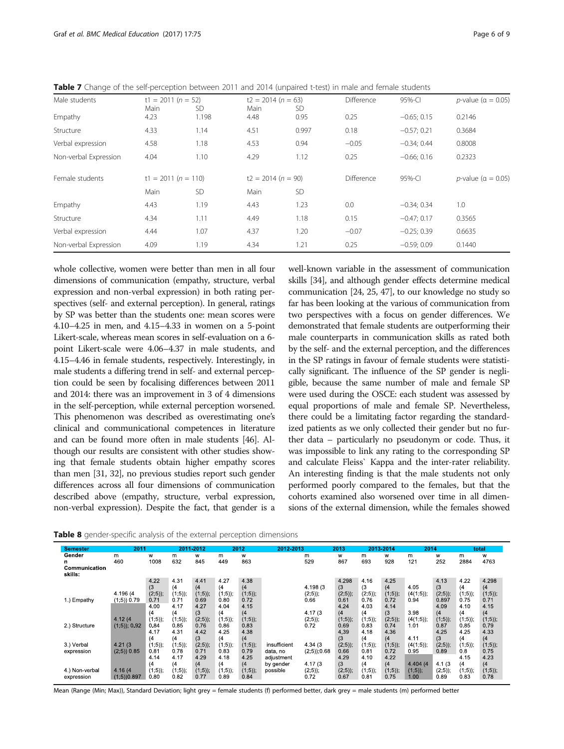| Male students         | $t1 = 2011 (n = 52)$<br>Main | <b>SD</b> | $t2 = 2014 (n = 63)$<br>Main | <b>SD</b> | Difference | 95%-CI        | $p$ -value ( $\alpha$ = 0.05)      |
|-----------------------|------------------------------|-----------|------------------------------|-----------|------------|---------------|------------------------------------|
| Empathy               | 4.23                         | 1.198     | 4.48                         | 0.95      | 0.25       | $-0.65; 0.15$ | 0.2146                             |
| Structure             | 4.33                         | 1.14      | 4.51                         | 0.997     | 0.18       | $-0.57; 0.21$ | 0.3684                             |
| Verbal expression     | 4.58                         | 1.18      | 4.53                         | 0.94      | $-0.05$    | $-0.34; 0.44$ | 0.8008                             |
| Non-verbal Expression | 4.04                         | 1.10      | 4.29                         | 1.12      | 0.25       | $-0.66; 0.16$ | 0.2323                             |
| Female students       | $t1 = 2011(n = 110)$         |           | $t2 = 2014 (n = 90)$         |           | Difference | 95%-CI        | <i>p</i> -value ( $\alpha$ = 0.05) |
|                       | Main                         | <b>SD</b> | Main                         | <b>SD</b> |            |               |                                    |
| Empathy               | 4.43                         | 1.19      | 4.43                         | 1.23      | 0.0        | $-0.34; 0.34$ | 1.0                                |
| Structure             | 4.34                         | 1.11      | 4.49                         | 1.18      | 0.15       | $-0.47; 0.17$ | 0.3565                             |
| Verbal expression     | 4.44                         | 1.07      | 4.37                         | 1.20      | $-0.07$    | $-0.25; 0.39$ | 0.6635                             |
| Non-verbal Expression | 4.09                         | 1.19      | 4.34                         | 1.21      | 0.25       | $-0.59:0.09$  | 0.1440                             |

<span id="page-5-0"></span>Table 7 Change of the self-perception between 2011 and 2014 (unpaired t-test) in male and female students

whole collective, women were better than men in all four dimensions of communication (empathy, structure, verbal expression and non-verbal expression) in both rating perspectives (self- and external perception). In general, ratings by SP was better than the students one: mean scores were 4.10–4.25 in men, and 4.15–4.33 in women on a 5-point Likert-scale, whereas mean scores in self-evaluation on a 6 point Likert-scale were 4.06–4.37 in male students, and 4.15–4.46 in female students, respectively. Interestingly, in male students a differing trend in self- and external perception could be seen by focalising differences between 2011 and 2014: there was an improvement in 3 of 4 dimensions in the self-perception, while external perception worsened. This phenomenon was described as overestimating one's clinical and communicational competences in literature and can be found more often in male students [\[46\]](#page-8-0). Although our results are consistent with other studies showing that female students obtain higher empathy scores than men [\[31, 32\]](#page-8-0), no previous studies report such gender differences across all four dimensions of communication described above (empathy, structure, verbal expression, non-verbal expression). Despite the fact, that gender is a

well-known variable in the assessment of communication skills [[34](#page-8-0)], and although gender effects determine medical communication [\[24, 25](#page-8-0), [47\]](#page-8-0), to our knowledge no study so far has been looking at the various of communication from two perspectives with a focus on gender differences. We demonstrated that female students are outperforming their male counterparts in communication skills as rated both by the self- and the external perception, and the differences in the SP ratings in favour of female students were statistically significant. The influence of the SP gender is negligible, because the same number of male and female SP were used during the OSCE: each student was assessed by equal proportions of male and female SP. Nevertheless, there could be a limitating factor regarding the standardized patients as we only collected their gender but no further data – particularly no pseudonym or code. Thus, it was impossible to link any rating to the corresponding SP and calculate Fleiss` Kappa and the inter-rater reliability. An interesting finding is that the male students not only performed poorly compared to the females, but that the cohorts examined also worsened over time in all dimensions of the external dimension, while the females showed

|  | Table 8 gender-specific analysis of the external perception dimensions |  |  |  |  |
|--|------------------------------------------------------------------------|--|--|--|--|
|--|------------------------------------------------------------------------|--|--|--|--|

| <b>Semester</b>                         | 2011                       |                                                 |                                                 | 2011-2012                                       |                                                  | 2012                                             | 2012-2013                                           |                                            | 2013                                             |                                                 | 2013 2014                                       | 2014                                 |                                                  |                                                  | total                                              |
|-----------------------------------------|----------------------------|-------------------------------------------------|-------------------------------------------------|-------------------------------------------------|--------------------------------------------------|--------------------------------------------------|-----------------------------------------------------|--------------------------------------------|--------------------------------------------------|-------------------------------------------------|-------------------------------------------------|--------------------------------------|--------------------------------------------------|--------------------------------------------------|----------------------------------------------------|
| Gender<br>n<br>Communication<br>skills: | m<br>460                   | w<br>1008                                       | m<br>632                                        | w<br>845                                        | m<br>449                                         | w<br>863                                         |                                                     | m<br>529                                   | w<br>867                                         | m<br>693                                        | w<br>928                                        | m<br>121                             | w<br>252                                         | m<br>2884                                        | w<br>4763                                          |
| 1.) Empathy                             | 4 196 (4<br>$(1,5)$ ) 0.79 | 4.22<br>(3)<br>$(2;5)$ ;<br>0.71<br>4.00<br>(4) | 4.31<br>(4)<br>$(1;5)$ ;<br>0.71<br>4.17<br>(4) | 4.41<br>(4)<br>$(1;5)$ ;<br>0.69<br>4.27<br>(3) | 4 2 7<br>(4)<br>$(1;5)$ ;<br>0.80<br>4.04<br>(4) | 4 3 8<br>(4)<br>$(1;5)$ ;<br>0.72<br>4 15<br>(4) |                                                     | 4.198 (3)<br>$(2;5)$ ;<br>0.66<br>4.17 (3) | 4.298<br>(3)<br>$(2;5)$ ;<br>0.61<br>4.24<br>(4) | 4.16<br>(3)<br>$(2;5)$ ;<br>0.76<br>4.03<br>(4) | 4.25<br>(4)<br>$(1;5)$ ;<br>0.72<br>4.14<br>(3) | 4.05<br>$(4(1;5))$ ;<br>0.94<br>3.98 | 4.13<br>(3)<br>$(2;5)$ ;<br>0.897<br>4.09<br>(4) | 4 2 2<br>(4)<br>$(1;5)$ ;<br>0.75<br>4.10<br>(4) | 4 2 9 8<br>(4)<br>$(1;5)$ ;<br>0.71<br>4 15<br>(4) |
| 2.) Structure                           | 4 12 (4<br>$(1;5)$ ; 0.92  | $(1;5)$ :<br>084<br>4.17<br>(4)                 | $(1;5)$ ;<br>0.85<br>4.31<br>(4)                | $(2;5)$ ;<br>0.76<br>4 4 2<br>(3)               | $(1;5)$ ;<br>0.86<br>4.25<br>(4)                 | $(1;5)$ ;<br>0.83<br>4 3 8<br>(4)                |                                                     | $(2;5)$ ;<br>0.72                          | $(1;5)$ ;<br>0.69<br>4,39<br>(3)                 | $(1;5)$ ;<br>0.83<br>4.18<br>(4)                | $(2;5)$ ;<br>0.74<br>4.36<br>(4)                | $(4(1;5))$ ;<br>1.01<br>4.11         | $(1;5)$ ;<br>0.87<br>4.25<br>(3)                 | $(1;5)$ ;<br>0.85<br>4 2 5<br>(4)                | $(1;5)$ ;<br>0.79<br>4.33<br>(4)                   |
| 3.) Verbal<br>expression                | 4 21 (3)<br>$(2:5)$ ) 0.85 | $(1;5)$ ;<br>0.81<br>4.14<br>(4)                | $(1;5)$ ;<br>0.78<br>4.17<br>(4)                | $(2;5)$ ;<br>0.71<br>4.29<br>(4)                | $(1;5)$ ;<br>0.83<br>4.18<br>(4)                 | $(1;5)$ ;<br>0.79<br>4 2 5<br>(4)                | insufficient<br>data, no<br>adiustment<br>by gender | 4.34(3)<br>$(2;5)$ ; 0.68<br>4.17 (3)      | $(2;5)$ ;<br>0.66<br>4.29<br>(3)                 | $(1;5)$ ;<br>0.81<br>4.10<br>(4)                | $(1;5)$ ;<br>0.72<br>4.22<br>(4)                | $(4(1;5))$ ;<br>0.95<br>4.404 (4)    | $(2;5)$ ;<br>0.89<br>4.1(3)                      | $(1;5)$ ;<br>08<br>4.15<br>(4)                   | $(1;5)$ ;<br>0.75<br>4.23<br>(4)                   |
| 4.) Non-verbal<br>expression            | 4 16 (4<br>$(1,5)$ ) 0.897 | $(1;5)$ ;<br>0.80                               | $(1;5)$ ;<br>0.82                               | $(1;5)$ ;<br>0.77                               | $(1;5)$ ;<br>0.89                                | $(1;5)$ ;<br>0.84                                | possible                                            | $(2;5)$ ;<br>0.72                          | $(2;5)$ ;<br>0.67                                | $(1;5)$ ;<br>0.81                               | $(1;5)$ ;<br>0.75                               | $(1;5)$ ;<br>1.00                    | $(2;5)$ :<br>0.89                                | $(1;5)$ ;<br>0.83                                | $(1;5)$ ;<br>0.78                                  |

Mean (Range (Min; Max)), Standard Deviation; light grey = female students (f) performed better, dark grey = male students (m) performed better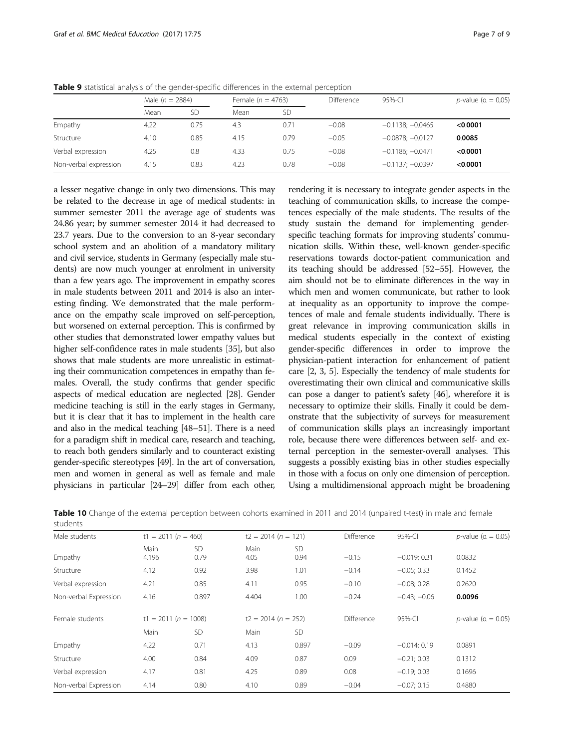|                       | Male $(n = 2884)$ |      | Female ( $n = 4763$ ) |      | Difference | 95%-CI             | p-value ( $\alpha$ = 0,05) |  |
|-----------------------|-------------------|------|-----------------------|------|------------|--------------------|----------------------------|--|
|                       | Mean              | SD   | Mean                  | SD   |            |                    |                            |  |
| Empathy               | 4.22              | 0.75 | 4.3                   | 0.71 | $-0.08$    | $-0.1138; -0.0465$ | < 0.0001                   |  |
| Structure             | 4.10              | 0.85 | 4.15                  | 0.79 | $-0.05$    | $-0.0878; -0.0127$ | 0.0085                     |  |
| Verbal expression     | 4.25              | 0.8  | 4.33                  | 0.75 | $-0.08$    | $-0.1186; -0.0471$ | < 0.0001                   |  |
| Non-verbal expression | 4.15              | 0.83 | 4.23                  | 0.78 | $-0.08$    | $-0.1137; -0.0397$ | < 0.0001                   |  |

<span id="page-6-0"></span>Table 9 statistical analysis of the gender-specific differences in the external perception

a lesser negative change in only two dimensions. This may be related to the decrease in age of medical students: in summer semester 2011 the average age of students was 24.86 year; by summer semester 2014 it had decreased to 23.7 years. Due to the conversion to an 8-year secondary school system and an abolition of a mandatory military and civil service, students in Germany (especially male students) are now much younger at enrolment in university than a few years ago. The improvement in empathy scores in male students between 2011 and 2014 is also an interesting finding. We demonstrated that the male performance on the empathy scale improved on self-perception, but worsened on external perception. This is confirmed by other studies that demonstrated lower empathy values but higher self-confidence rates in male students [\[35\]](#page-8-0), but also shows that male students are more unrealistic in estimating their communication competences in empathy than females. Overall, the study confirms that gender specific aspects of medical education are neglected [[28](#page-8-0)]. Gender medicine teaching is still in the early stages in Germany, but it is clear that it has to implement in the health care and also in the medical teaching [\[48](#page-8-0)–[51\]](#page-8-0). There is a need for a paradigm shift in medical care, research and teaching, to reach both genders similarly and to counteract existing gender-specific stereotypes [\[49](#page-8-0)]. In the art of conversation, men and women in general as well as female and male physicians in particular [\[24](#page-8-0)–[29](#page-8-0)] differ from each other,

rendering it is necessary to integrate gender aspects in the teaching of communication skills, to increase the competences especially of the male students. The results of the study sustain the demand for implementing genderspecific teaching formats for improving students' communication skills. Within these, well-known gender-specific reservations towards doctor-patient communication and its teaching should be addressed [\[52](#page-8-0)–[55](#page-8-0)]. However, the aim should not be to eliminate differences in the way in which men and women communicate, but rather to look at inequality as an opportunity to improve the competences of male and female students individually. There is great relevance in improving communication skills in medical students especially in the context of existing gender-specific differences in order to improve the physician-patient interaction for enhancement of patient care [\[2](#page-7-0), [3](#page-7-0), [5](#page-7-0)]. Especially the tendency of male students for overestimating their own clinical and communicative skills can pose a danger to patient's safety [\[46](#page-8-0)], wherefore it is necessary to optimize their skills. Finally it could be demonstrate that the subjectivity of surveys for measurement of communication skills plays an increasingly important role, because there were differences between self- and external perception in the semester-overall analyses. This suggests a possibly existing bias in other studies especially in those with a focus on only one dimension of perception. Using a multidimensional approach might be broadening

Table 10 Change of the external perception between cohorts examined in 2011 and 2014 (unpaired t-test) in male and female students

| Male students         | $t1 = 2011 (n = 460)$  |                   | $t2 = 2014 (n = 121)$ |                       | Difference | 95%-CI         | $p$ -value ( $\alpha$ = 0.05)      |
|-----------------------|------------------------|-------------------|-----------------------|-----------------------|------------|----------------|------------------------------------|
| Empathy               | Main<br>4.196          | <b>SD</b><br>0.79 | Main<br>4.05          | <b>SD</b><br>0.94     | $-0.15$    | $-0.019; 0.31$ | 0.0832                             |
| Structure             | 4.12                   | 0.92              | 3.98                  | 1.01                  | $-0.14$    | $-0.05; 0.33$  | 0.1452                             |
| Verbal expression     | 4.21                   | 0.85              | 4.11                  | 0.95                  | $-0.10$    | $-0.08; 0.28$  | 0.2620                             |
| Non-verbal Expression | 4.16                   | 0.897             | 4.404                 | 1.00                  | $-0.24$    | $-0.43: -0.06$ | 0.0096                             |
| Female students       | $t1 = 2011 (n = 1008)$ |                   |                       | $t2 = 2014 (n = 252)$ |            | 95%-CI         | <i>p</i> -value ( $\alpha$ = 0.05) |
|                       | Main                   | <b>SD</b>         | Main                  | <b>SD</b>             |            |                |                                    |
| Empathy               | 4.22                   | 0.71              | 4.13                  | 0.897                 | $-0.09$    | $-0.014; 0.19$ | 0.0891                             |
| Structure             | 4.00                   | 0.84              | 4.09                  | 0.87                  | 0.09       | $-0.21:0.03$   | 0.1312                             |
| Verbal expression     | 4.17                   | 0.81              | 4.25                  | 0.89                  | 0.08       | $-0.19:0.03$   | 0.1696                             |
| Non-verbal Expression | 4.14                   | 0.80              | 4.10                  | 0.89                  | $-0.04$    | $-0.07:0.15$   | 0.4880                             |
|                       |                        |                   |                       |                       |            |                |                                    |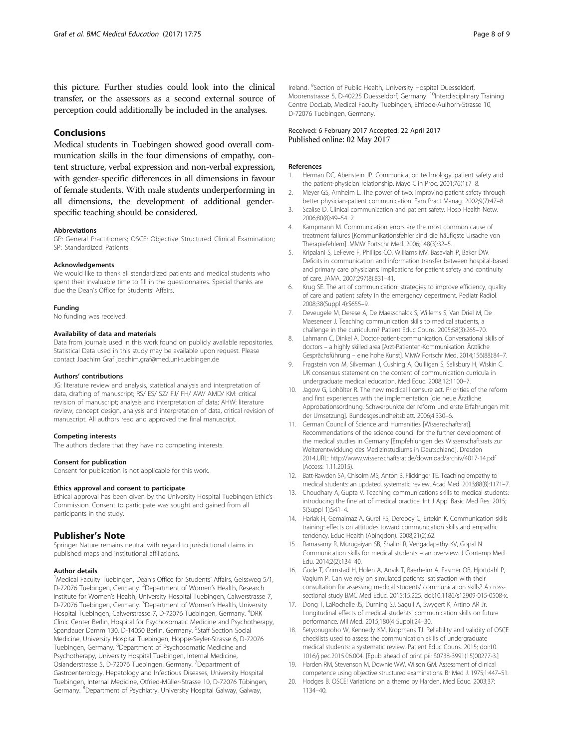<span id="page-7-0"></span>this picture. Further studies could look into the clinical transfer, or the assessors as a second external source of perception could additionally be included in the analyses.

## Conclusions

Medical students in Tuebingen showed good overall communication skills in the four dimensions of empathy, content structure, verbal expression and non-verbal expression, with gender-specific differences in all dimensions in favour of female students. With male students underperforming in all dimensions, the development of additional genderspecific teaching should be considered.

#### Abbreviations

GP: General Practitioners; OSCE: Objective Structured Clinical Examination; SP: Standardized Patients

#### Acknowledgements

We would like to thank all standardized patients and medical students who spent their invaluable time to fill in the questionnaires. Special thanks are due the Dean's Office for Students' Affairs.

#### Funding

No funding was received.

#### Availability of data and materials

Data from journals used in this work found on publicly available repositories. Statistical Data used in this study may be available upon request. Please contact Joachim Graf joachim.graf@med.uni-tuebingen.de

#### Authors' contributions

JG: literature review and analysis, statistical analysis and interpretation of data, drafting of manuscript; RS/ ES/ SZ/ FJ/ FH/ AW/ AMD/ KM: critical revision of manuscript; analysis and interpretation of data; AHW: literature review, concept design, analysis and interpretation of data, critical revision of manuscript. All authors read and approved the final manuscript.

#### Competing interests

The authors declare that they have no competing interests.

#### Consent for publication

Consent for publication is not applicable for this work.

#### Ethics approval and consent to participate

Ethical approval has been given by the University Hospital Tuebingen Ethic's Commission. Consent to participate was sought and gained from all participants in the study.

#### Publisher's Note

Springer Nature remains neutral with regard to jurisdictional claims in published maps and institutional affiliations.

#### Author details

<sup>1</sup>Medical Faculty Tuebingen, Dean's Office for Students' Affairs, Geissweg 5/1, D-72076 Tuebingen, Germany. <sup>2</sup>Department of Women's Health, Research Institute for Women's Health, University Hospital Tuebingen, Calwerstrasse 7, D-72076 Tuebingen, Germany. <sup>3</sup>Department of Women's Health, University Hospital Tuebingen, Calwerstrasse 7, D-72076 Tuebingen, Germany. <sup>4</sup>DRK Clinic Center Berlin, Hospital for Psychosomatic Medicine and Psychotherapy, Spandauer Damm 130, D-14050 Berlin, Germany. <sup>5</sup>Staff Section Social Medicine, University Hospital Tuebingen, Hoppe-Seyler-Strasse 6, D-72076 Tuebingen, Germany. <sup>6</sup>Department of Psychosomatic Medicine and Psychotherapy, University Hospital Tuebingen, Internal Medicine, Osianderstrasse 5, D-72076 Tuebingen, Germany. <sup>7</sup>Department of Gastroenterology, Hepatology and Infectious Diseases, University Hospital Tuebingen, Internal Medicine, Otfried-Müller-Strasse 10, D-72076 Tübingen, Germany. <sup>8</sup>Department of Psychiatry, University Hospital Galway, Galway,

Ireland. <sup>9</sup>Section of Public Health, University Hospital Duesseldorf, Moorenstrasse 5, D-40225 Duesseldorf, Germany. <sup>10</sup>Interdisciplinary Training Centre DocLab, Medical Faculty Tuebingen, Elfriede-Aulhorn-Strasse 10, D-72076 Tuebingen, Germany.

#### Received: 6 February 2017 Accepted: 22 April 2017 Published online: 02 May 2017

#### References

- 1. Herman DC, Abenstein JP. Communication technology: patient safety and the patient-physician relationship. Mayo Clin Proc. 2001;76(1):7–8.
- 2. Meyer GS, Arnheim L. The power of two: improving patient safety through better physician-patient communication. Fam Pract Manag. 2002;9(7):47–8.
- 3. Scalise D. Clinical communication and patient safety. Hosp Health Netw. 2006;80(8):49–54. 2
- 4. Kampmann M. Communication errors are the most common cause of treatment failures [Kommunikationsfehler sind die häufigste Ursache von Therapiefehlern]. MMW Fortschr Med. 2006;148(3):32–5.
- 5. Kripalani S, LeFevre F, Phillips CO, Williams MV, Basaviah P, Baker DW. Deficits in communication and information transfer between hospital-based and primary care physicians: implications for patient safety and continuity of care. JAMA. 2007;297(8):831–41.
- 6. Krug SE. The art of communication: strategies to improve efficiency, quality of care and patient safety in the emergency department. Pediatr Radiol. 2008;38(Suppl 4):S655–9.
- 7. Deveugele M, Derese A, De Maesschalck S, Willems S, Van Driel M, De Maeseneer J. Teaching communication skills to medical students, a challenge in the curriculum? Patient Educ Couns. 2005;58(3):265–70.
- 8. Lahmann C, Dinkel A. Doctor-patient-communication. Conversational skills of doctors – a highly skilled area [Arzt-Patienten-Kommunikation. Ärztliche Gesprächsführung – eine hohe Kunst]. MMW Fortschr Med. 2014;156(88):84–7.
- 9. Fragstein von M, Silverman J, Cushing A, Quilligan S, Salisbury H, Wiskin C. UK consensus statement on the content of communication curricula in undergraduate medical education. Med Educ. 2008;12:1100–7.
- 10. Jagow G, Lohölter R. The new medical licensure act. Priorities of the reform and first experiences with the implementation [die neue Ärztliche Approbationsordnung. Schwerpunkte der reform und erste Erfahrungen mit der Umsetzung]. Bundesgesundheitsblatt. 2006;4:330–6.
- 11. German Council of Science and Humanities [Wissenschaftsrat]. Recommendations of the science council for the further development of the medical studies in Germany [Empfehlungen des Wissenschaftsrats zur Weiterentwicklung des Medizinstudiums in Deutschland]. Dresden 2014,URL:<http://www.wissenschaftsrat.de/download/archiv/4017-14.pdf> (Access: 1.11.2015).
- 12. Batt-Rawden SA, Chisolm MS, Anton B, Flickinger TE. Teaching empathy to medical students: an updated, systematic review. Acad Med. 2013;88(8):1171–7.
- 13. Choudhary A, Gupta V. Teaching communications skills to medical students: introducing the fine art of medical practice. Int J Appl Basic Med Res. 2015; 5(Suppl 1):S41–4.
- 14. Harlak H, Gemalmaz A, Gurel FS, Dereboy C, Ertekin K. Communication skills training: effects on attitudes toward communication skills and empathic tendency. Educ Health (Abingdon). 2008;21(2):62.
- 15. Ramasamy R, Murugaiyan SB, Shalini R, Vengadapathy KV, Gopal N. Communication skills for medical students – an overview. J Contemp Med Edu. 2014;2(2):134–40.
- 16. Gude T, Grimstad H, Holen A, Anvik T, Baerheim A, Fasmer OB, Hjortdahl P, Vaglum P. Can we rely on simulated patients' satisfaction with their consultation for assessing medical students' communication skills? A crosssectional study BMC Med Educ. 2015;15:225. doi:[10.1186/s12909-015-0508-x](http://dx.doi.org/10.1186/s12909-015-0508-x).
- 17. Dong T, LaRochelle JS, Durning SJ, Saguil A, Swygert K, Artino AR Jr. Longitudinal effects of medical students' communication skills on future performance. Mil Med. 2015;180(4 Suppl):24–30.
- 18. Setyonugroho W, Kennedy KM, Kropmans TJ. Reliability and validity of OSCE checklists used to assess the communication skills of undergraduate medical students: a systematic review. Patient Educ Couns. 2015; doi[:10.](http://dx.doi.org/10.1016/j.pec.2015.06.004) [1016/j.pec.2015.06.004](http://dx.doi.org/10.1016/j.pec.2015.06.004). [Epub ahead of print pii: S0738-3991(15)00277-3.]
- 19. Harden RM, Stevenson M, Downie WW, Wilson GM. Assessment of clinical competence using objective structured examinations. Br Med J. 1975;1:447–51.
- 20. Hodges B. OSCE! Variations on a theme by Harden. Med Educ. 2003;37: 1134–40.